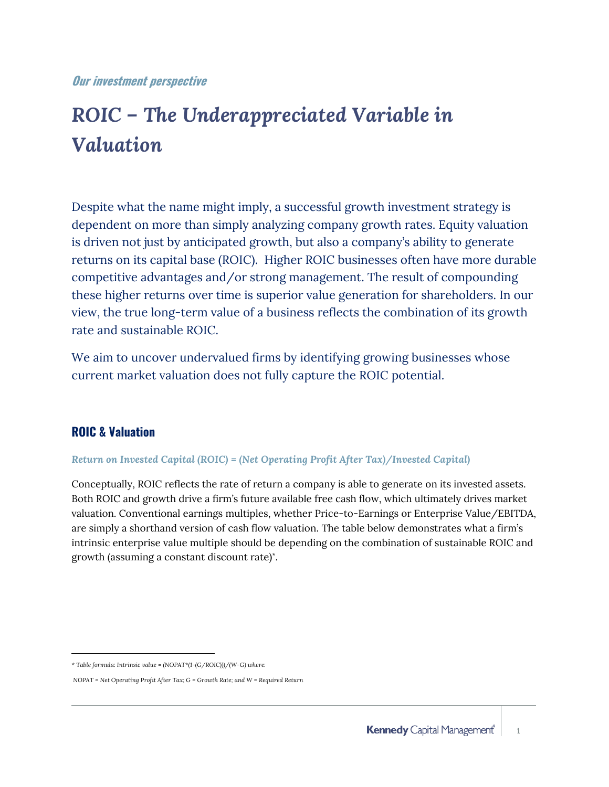#### **Our investment perspective**

# *ROIC – The Underappreciated Variable in Valuation*

Despite what the name might imply, a successful growth investment strategy is dependent on more than simply analyzing company growth rates. Equity valuation is driven not just by anticipated growth, but also a company's ability to generate returns on its capital base (ROIC). Higher ROIC businesses often have more durable competitive advantages and/or strong management. The result of compounding these higher returns over time is superior value generation for shareholders. In our view, the true long-term value of a business reflects the combination of its growth rate and sustainable ROIC.

We aim to uncover undervalued firms by identifying growing businesses whose current market valuation does not fully capture the ROIC potential.

#### **ROIC & Valuation**

 $\overline{a}$ 

#### *Return on Invested Capital (ROIC) = (Net Operating Profit After Tax)/Invested Capital)*

Conceptually, ROIC reflects the rate of return a company is able to generate on its invested assets. Both ROIC and growth drive a firm's future available free cash flow, which ultimately drives market valuation. Conventional earnings multiples, whether Price-to-Earnings or Enterprise Value/EBITDA, are simply a shorthand version of cash flow valuation. The table below demonstrates what a firm's intrinsic enterprise value multiple should be depending on the combination of sustainable ROIC and growth (assuming a constant discount rate)\* .

*<sup>\*</sup> Table formula: Intrinsic value = (NOPAT\*(1-(G/ROIC)))/(W-G) where:*

*NOPAT = Net Operating Profit After Tax; G = Growth Rate; and W = Required Return*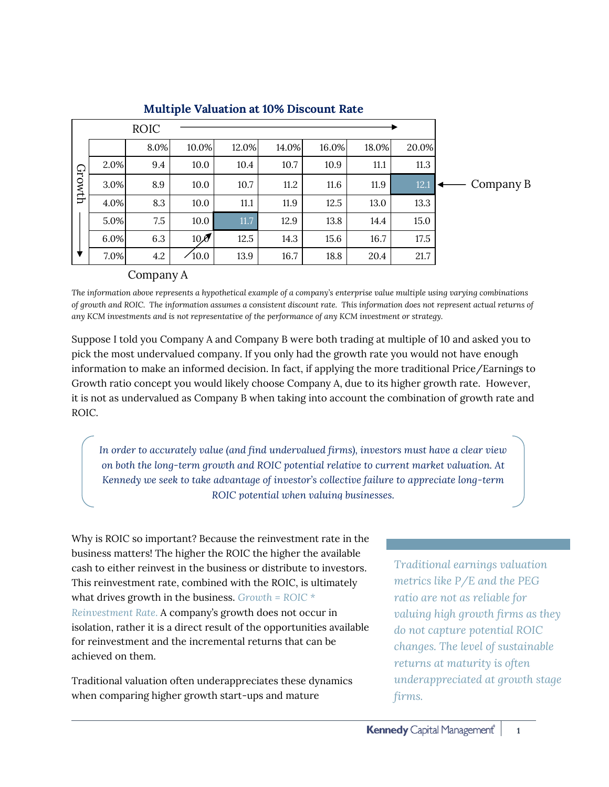|        |      | <b>ROIC</b> |                 |       |       |       |       |       |           |
|--------|------|-------------|-----------------|-------|-------|-------|-------|-------|-----------|
| Growth |      | 8.0%        | 10.0%           | 12.0% | 14.0% | 16.0% | 18.0% | 20.0% |           |
|        | 2.0% | 9.4         | 10.0            | 10.4  | 10.7  | 10.9  | 11.1  | 11.3  |           |
|        | 3.0% | 8.9         | 10.0            | 10.7  | 11.2  | 11.6  | 11.9  | 12.1  | Company B |
|        | 4.0% | 8.3         | 10.0            | 11.1  | 11.9  | 12.5  | 13.0  | 13.3  |           |
|        | 5.0% | 7.5         | 10.0            | 11.7  | 12.9  | 13.8  | 14.4  | 15.0  |           |
|        | 6.0% | 6.3         | 10 <sub>0</sub> | 12.5  | 14.3  | 15.6  | 16.7  | 17.5  |           |
|        | 7.0% | 4.2         | $\angle 10.0$   | 13.9  | 16.7  | 18.8  | 20.4  | 21.7  |           |
|        |      | $\sim$      | $\blacksquare$  |       |       |       |       |       |           |

#### **Multiple Valuation at 10% Discount Rate**

#### Company A

*The information above represents a hypothetical example of a company's enterprise value multiple using varying combinations of growth and ROIC. The information assumes a consistent discount rate. This information does not represent actual returns of any KCM investments and is not representative of the performance of any KCM investment or strategy.*

Suppose I told you Company A and Company B were both trading at multiple of 10 and asked you to pick the most undervalued company. If you only had the growth rate you would not have enough information to make an informed decision. In fact, if applying the more traditional Price/Earnings to Growth ratio concept you would likely choose Company A, due to its higher growth rate. However, it is not as undervalued as Company B when taking into account the combination of growth rate and ROIC.

*In order to accurately value (and find undervalued firms), investors must have a clear view on both the long-term growth and ROIC potential relative to current market valuation. At Kennedy we seek to take advantage of investor's collective failure to appreciate long-term ROIC potential when valuing businesses.*

Why is ROIC so important? Because the reinvestment rate in the business matters! The higher the ROIC the higher the available cash to either reinvest in the business or distribute to investors. This reinvestment rate, combined with the ROIC, is ultimately what drives growth in the business. *Growth = ROIC \* Reinvestment Rate*. A company's growth does not occur in isolation, rather it is a direct result of the opportunities available for reinvestment and the incremental returns that can be achieved on them.

Traditional valuation often underappreciates these dynamics when comparing higher growth start-ups and mature

*Traditional earnings valuation metrics like P/E and the PEG ratio are not as reliable for valuing high growth firms as they do not capture potential ROIC changes. The level of sustainable returns at maturity is often underappreciated at growth stage firms.*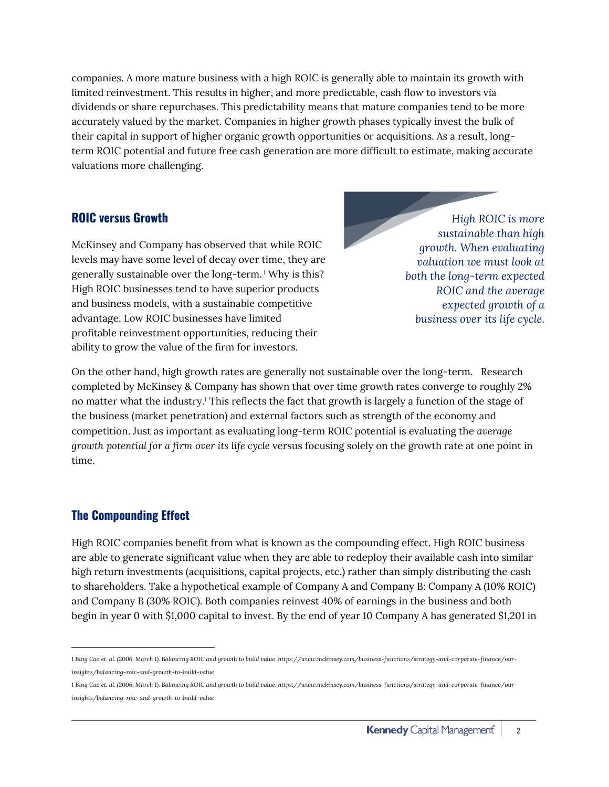companies. A more mature business with a high ROIC is generally able to maintain its growth with limited reinvestment. This results in higher, and more predictable, cash flow to investors via dividends or share repurchases. This predictability means that mature companies tend to be more accurately valued by the market. Companies in higher growth phases typically invest the bulk of their capital in support of higher organic growth opportunities or acquisitions. As a result, longterm ROIC potential and future free cash generation are more difficult to estimate, making accurate valuations more challenging.

#### **ROIC versus Growth**

McKinsey and Company has observed that while ROIC levels may have some level of decay over time, they are generally sustainable over the long-term. <sup>1</sup> Why is this? High ROIC businesses tend to have superior products and business models, with a sustainable competitive advantage. Low ROIC businesses have limited profitable reinvestment opportunities, reducing their ability to grow the value of the firm for investors.

*High ROIC is more sustainable than high growth. When evaluating valuation we must look at both the long-term expected ROIC and the average expected growth of a business over its life cycle.*

On the other hand, high growth rates are generally not sustainable over the long-term. Research completed by McKinsey & Company has shown that over time growth rates converge to roughly 2% no matter what the industry.<sup>1</sup> This reflects the fact that growth is largely a function of the stage of the business (market penetration) and external factors such as strength of the economy and competition. Just as important as evaluating long-term ROIC potential is evaluating the *average growth potential for a firm over its life cycle* versus focusing solely on the growth rate at one point in time.

## **The Compounding Effect**

High ROIC companies benefit from what is known as the compounding effect. High ROIC business are able to generate significant value when they are able to redeploy their available cash into similar high return investments (acquisitions, capital projects, etc.) rather than simply distributing the cash to shareholders. Take a hypothetical example of Company A and Company B: Company A (10% ROIC) and Company B (30% ROIC). Both companies reinvest 40% of earnings in the business and both begin in year 0 with \$1,000 capital to invest. By the end of year 10 Company A has generated \$1,201 in

 $\overline{a}$ *1 Bing Cao et. al. (2006, March 1). Balancing ROIC and growth to build value. https://www.mckinsey.com/business-functions/strategy-and-corporate-finance/ourinsights/balancing-roic-and-growth-to-build-value*

*<sup>1</sup> Bing Cao et. al. (2006, March 1). Balancing ROIC and growth to build value. https://www.mckinsey.com/business-functions/strategy-and-corporate-finance/ourinsights/balancing-roic-and-growth-to-build-value*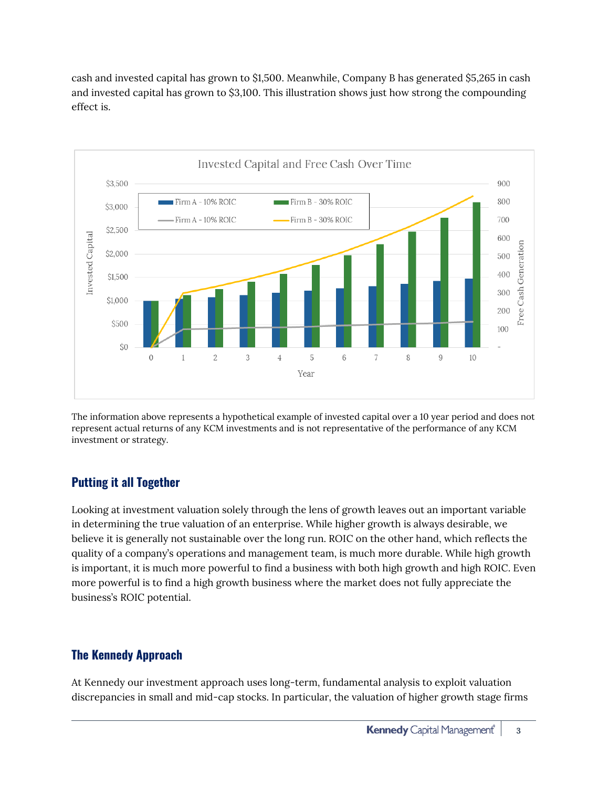cash and invested capital has grown to \$1,500. Meanwhile, Company B has generated \$5,265 in cash and invested capital has grown to \$3,100. This illustration shows just how strong the compounding effect is.



The information above represents a hypothetical example of invested capital over a 10 year period and does not represent actual returns of any KCM investments and is not representative of the performance of any KCM investment or strategy.

# **Putting it all Together**

Looking at investment valuation solely through the lens of growth leaves out an important variable in determining the true valuation of an enterprise. While higher growth is always desirable, we believe it is generally not sustainable over the long run. ROIC on the other hand, which reflects the quality of a company's operations and management team, is much more durable. While high growth is important, it is much more powerful to find a business with both high growth and high ROIC. Even more powerful is to find a high growth business where the market does not fully appreciate the business's ROIC potential.

## **The Kennedy Approach**

At Kennedy our investment approach uses long-term, fundamental analysis to exploit valuation discrepancies in small and mid-cap stocks. In particular, the valuation of higher growth stage firms